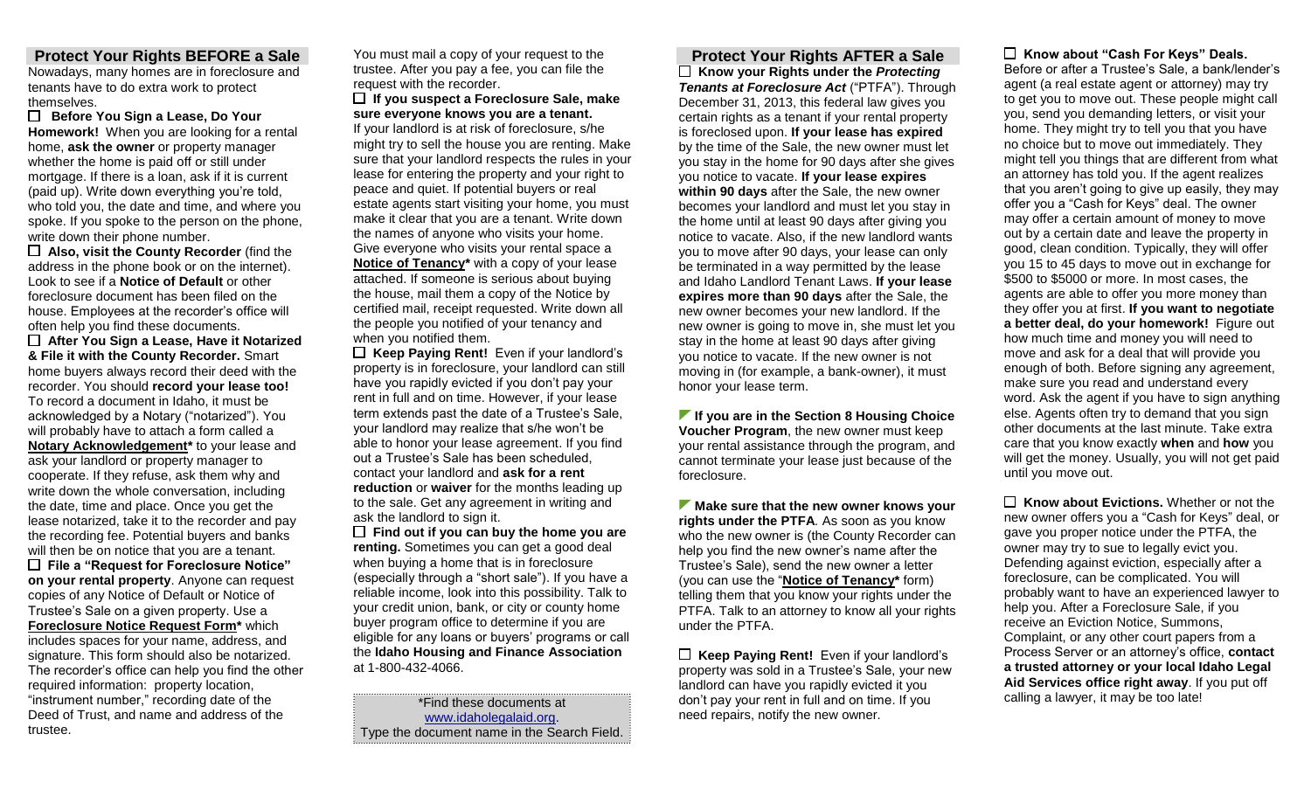### **Protect Your Rights BEFORE a Sale**

Nowadays, many homes are in foreclosure and tenants have to do extra work to protect themselves.

 **Before You Sign a Lease, Do Your Homework!** When you are looking for a rental home, **ask the owner** or property manager whether the home is paid off or still under mortgage. If there is a loan, ask if it is current (paid up). Write down everything you're told, who told you, the date and time, and where you spoke. If you spoke to the person on the phone, write down their phone number.

 **Also, visit the County Recorder** (find the address in the phone book or on the internet). Look to see if a **Notice of Default** or other foreclosure document has been filed on the house. Employees at the recorder's office will often help you find these documents.

 **After You Sign a Lease, Have it Notarized & File it with the County Recorder.** Smart home buyers always record their deed with the recorder. You should **record your lease too!**  To record a document in Idaho, it must be acknowledged by a Notary ("notarized"). You will probably have to attach a form called a **Notary Acknowledgement\*** to your lease and ask your landlord or property manager to cooperate. If they refuse, ask them why and write down the whole conversation, including the date, time and place. Once you get the lease notarized, take it to the recorder and pay the recording fee. Potential buyers and banks will then be on notice that you are a tenant. **File a "Request for Foreclosure Notice" on your rental property**. Anyone can request copies of any Notice of Default or Notice of Trustee's Sale on a given property. Use a **Foreclosure Notice Request Form\*** which includes spaces for your name, address, and signature. This form should also be notarized. The recorder's office can help you find the other required information: property location, "instrument number," recording date of the Deed of Trust, and name and address of the trustee.

You must mail a copy of your request to the trustee. After you pay a fee, you can file the request with the recorder.

 **If you suspect a Foreclosure Sale, make sure everyone knows you are a tenant.** 

If your landlord is at risk of foreclosure, s/he might try to sell the house you are renting. Make sure that your landlord respects the rules in your lease for entering the property and your right to peace and quiet. If potential buyers or real estate agents start visiting your home, you must make it clear that you are a tenant. Write down the names of anyone who visits your home. Give everyone who visits your rental space a **Notice of Tenancy\*** with a copy of your lease attached. If someone is serious about buying the house, mail them a copy of the Notice by certified mail, receipt requested. Write down all the people you notified of your tenancy and when you notified them.

 **Keep Paying Rent!** Even if your landlord's property is in foreclosure, your landlord can still have you rapidly evicted if you don't pay your rent in full and on time. However, if your lease term extends past the date of a Trustee's Sale, your landlord may realize that s/he won't be able to honor your lease agreement. If you find out a Trustee's Sale has been scheduled, contact your landlord and **ask for a rent reduction** or **waiver** for the months leading up to the sale. Get any agreement in writing and ask the landlord to sign it.

 **Find out if you can buy the home you are renting.** Sometimes you can get a good deal when buying a home that is in foreclosure (especially through a "short sale"). If you have a reliable income, look into this possibility. Talk to your credit union, bank, or city or county home buyer program office to determine if you are eligible for any loans or buyers' programs or call the **Idaho Housing and Finance Association** at 1-800-432-4066.

[www.idaholegalaid.org.](http://www.idaholegalaid.org/) Type the document name in the Search Field.

### **Protect Your Rights AFTER a Sale**

**Know your Rights under the** *Protecting Tenants at Foreclosure Act* ("PTFA"). Through December 31, 2013, this federal law gives you certain rights as a tenant if your rental property is foreclosed upon. **If your lease has expired**  by the time of the Sale, the new owner must let you stay in the home for 90 days after she gives you notice to vacate. **If your lease expires within 90 days** after the Sale, the new owner becomes your landlord and must let you stay in the home until at least 90 days after giving you notice to vacate. Also, if the new landlord wants you to move after 90 days, your lease can only be terminated in a way permitted by the lease and Idaho Landlord Tenant Laws. **If your lease expires more than 90 days** after the Sale, the new owner becomes your new landlord. If the new owner is going to move in, she must let you stay in the home at least 90 days after giving you notice to vacate. If the new owner is not moving in (for example, a bank-owner), it must honor your lease term.

**If you are in the Section 8 Housing Choice Voucher Program**, the new owner must keep your rental assistance through the program, and cannot terminate your lease just because of the foreclosure.

**Make sure that the new owner knows your rights under the PTFA***.* As soon as you know who the new owner is (the County Recorder can help you find the new owner's name after the Trustee's Sale), send the new owner a letter (you can use the "**Notice of Tenancy\*** form) telling them that you know your rights under the PTFA. Talk to an attorney to know all your rights under the PTFA.

 **Keep Paying Rent!** Even if your landlord's property was sold in a Trustee's Sale, your new landlord can have you rapidly evicted it you \*Find these documents at **the set of the set of the don't pay your rent** in full and on time. If you calling a lawyer, it may be too late! need repairs, notify the new owner.

### **Know about "Cash For Keys" Deals.**

Before or after a Trustee's Sale, a bank/lender's agent (a real estate agent or attorney) may try to get you to move out. These people might call you, send you demanding letters, or visit your home. They might try to tell you that you have no choice but to move out immediately. They might tell you things that are different from what an attorney has told you. If the agent realizes that you aren't going to give up easily, they may offer you a "Cash for Keys" deal. The owner may offer a certain amount of money to move out by a certain date and leave the property in good, clean condition. Typically, they will offer you 15 to 45 days to move out in exchange for \$500 to \$5000 or more. In most cases, the agents are able to offer you more money than they offer you at first. **If you want to negotiate a better deal, do your homework!** Figure out how much time and money you will need to move and ask for a deal that will provide you enough of both. Before signing any agreement, make sure you read and understand every word. Ask the agent if you have to sign anything else. Agents often try to demand that you sign other documents at the last minute. Take extra care that you know exactly **when** and **how** you will get the money. Usually, you will not get paid until you move out.

 **Know about Evictions.** Whether or not the new owner offers you a "Cash for Keys" deal, or gave you proper notice under the PTFA, the owner may try to sue to legally evict you. Defending against eviction, especially after a foreclosure, can be complicated. You will probably want to have an experienced lawyer to help you. After a Foreclosure Sale, if you receive an Eviction Notice, Summons, Complaint, or any other court papers from a Process Server or an attorney's office, **contact a trusted attorney or your local Idaho Legal Aid Services office right away**. If you put off